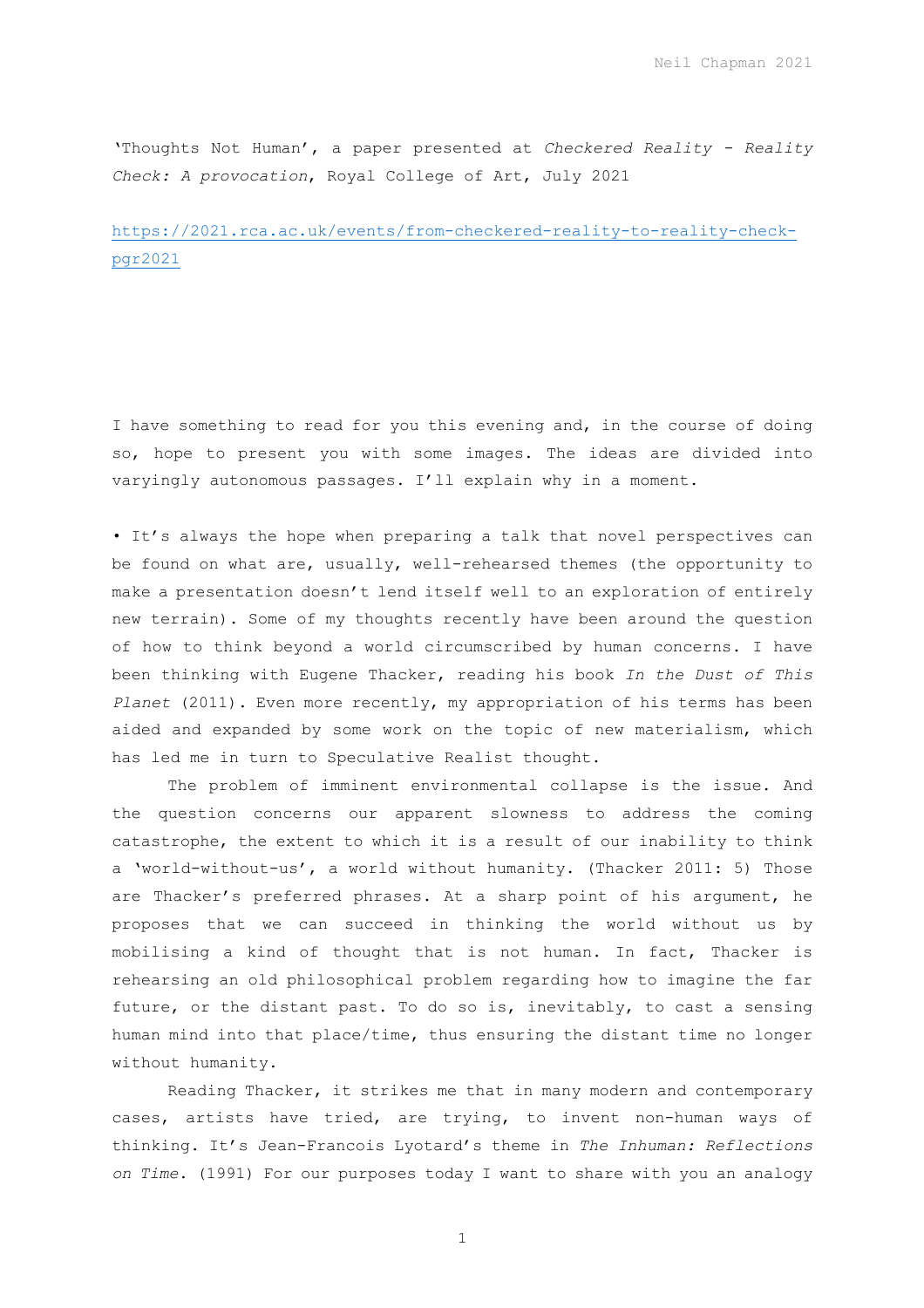'Thoughts Not Human', a paper presented at *Checkered Reality - Reality Check: A provocation*, Royal College of Art, July 2021

https://2021.rca.ac.uk/events/from-checkered-reality-to-reality-checkpgr2021

I have something to read for you this evening and, in the course of doing so, hope to present you with some images. The ideas are divided into varyingly autonomous passages. I'll explain why in a moment.

• It's always the hope when preparing a talk that novel perspectives can be found on what are, usually, well-rehearsed themes (the opportunity to make a presentation doesn't lend itself well to an exploration of entirely new terrain). Some of my thoughts recently have been around the question of how to think beyond a world circumscribed by human concerns. I have been thinking with Eugene Thacker, reading his book *In the Dust of This Planet* (2011). Even more recently, my appropriation of his terms has been aided and expanded by some work on the topic of new materialism, which has led me in turn to Speculative Realist thought.

The problem of imminent environmental collapse is the issue. And the question concerns our apparent slowness to address the coming catastrophe, the extent to which it is a result of our inability to think a 'world-without-us', a world without humanity. (Thacker 2011: 5) Those are Thacker's preferred phrases. At a sharp point of his argument, he proposes that we can succeed in thinking the world without us by mobilising a kind of thought that is not human. In fact, Thacker is rehearsing an old philosophical problem regarding how to imagine the far future, or the distant past. To do so is, inevitably, to cast a sensing human mind into that place/time, thus ensuring the distant time no longer without humanity.

Reading Thacker, it strikes me that in many modern and contemporary cases, artists have tried, are trying, to invent non-human ways of thinking. It's Jean-Francois Lyotard's theme in *The Inhuman: Reflections on Time*. (1991) For our purposes today I want to share with you an analogy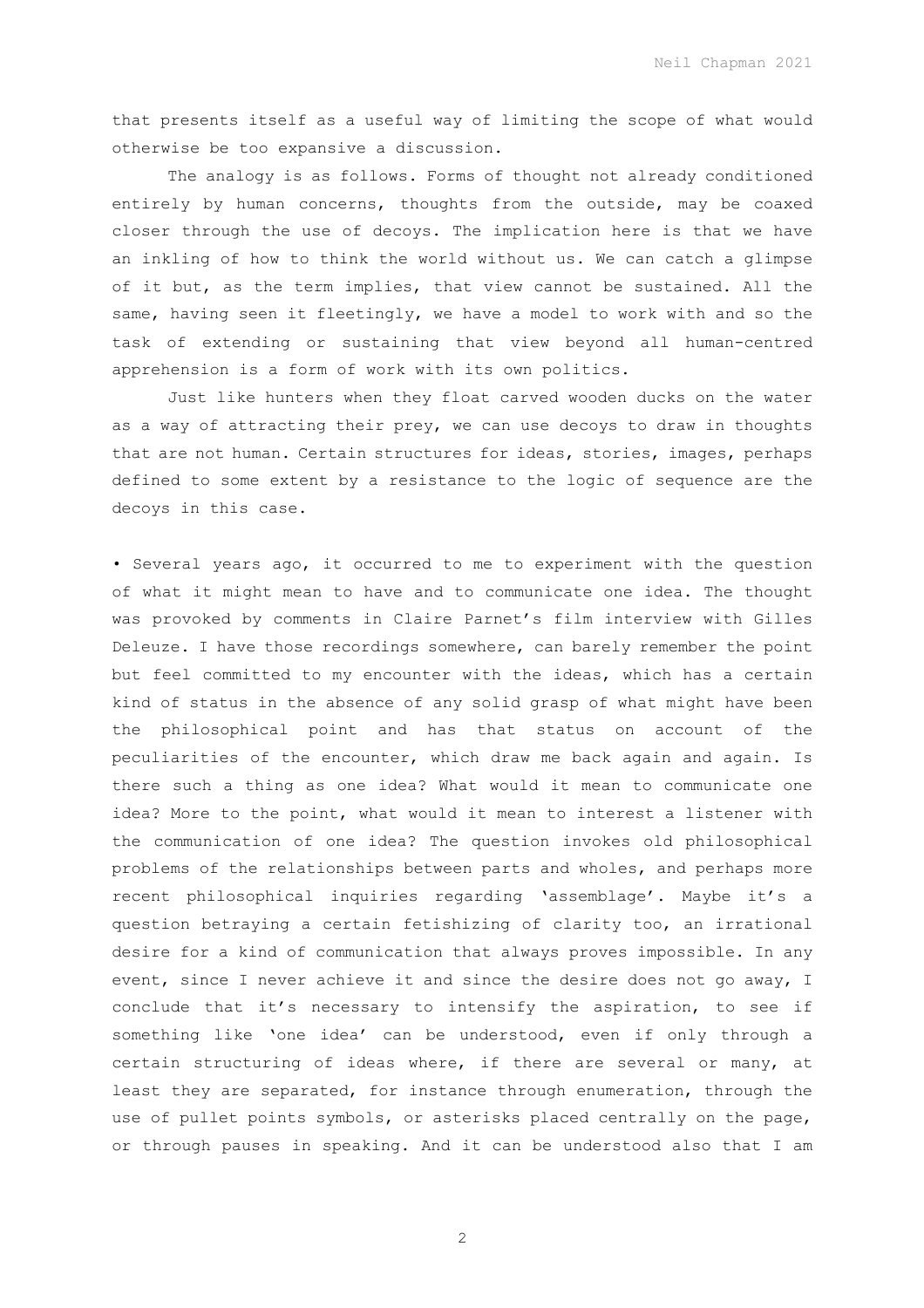that presents itself as a useful way of limiting the scope of what would otherwise be too expansive a discussion.

The analogy is as follows. Forms of thought not already conditioned entirely by human concerns, thoughts from the outside, may be coaxed closer through the use of decoys. The implication here is that we have an inkling of how to think the world without us. We can catch a glimpse of it but, as the term implies, that view cannot be sustained. All the same, having seen it fleetingly, we have a model to work with and so the task of extending or sustaining that view beyond all human-centred apprehension is a form of work with its own politics.

Just like hunters when they float carved wooden ducks on the water as a way of attracting their prey, we can use decoys to draw in thoughts that are not human. Certain structures for ideas, stories, images, perhaps defined to some extent by a resistance to the logic of sequence are the decoys in this case.

• Several years ago, it occurred to me to experiment with the question of what it might mean to have and to communicate one idea. The thought was provoked by comments in Claire Parnet's film interview with Gilles Deleuze. I have those recordings somewhere, can barely remember the point but feel committed to my encounter with the ideas, which has a certain kind of status in the absence of any solid grasp of what might have been the philosophical point and has that status on account of the peculiarities of the encounter, which draw me back again and again. Is there such a thing as one idea? What would it mean to communicate one idea? More to the point, what would it mean to interest a listener with the communication of one idea? The question invokes old philosophical problems of the relationships between parts and wholes, and perhaps more recent philosophical inquiries regarding 'assemblage'. Maybe it's a question betraying a certain fetishizing of clarity too, an irrational desire for a kind of communication that always proves impossible. In any event, since I never achieve it and since the desire does not go away, I conclude that it's necessary to intensify the aspiration, to see if something like 'one idea' can be understood, even if only through a certain structuring of ideas where, if there are several or many, at least they are separated, for instance through enumeration, through the use of pullet points symbols, or asterisks placed centrally on the page, or through pauses in speaking. And it can be understood also that I am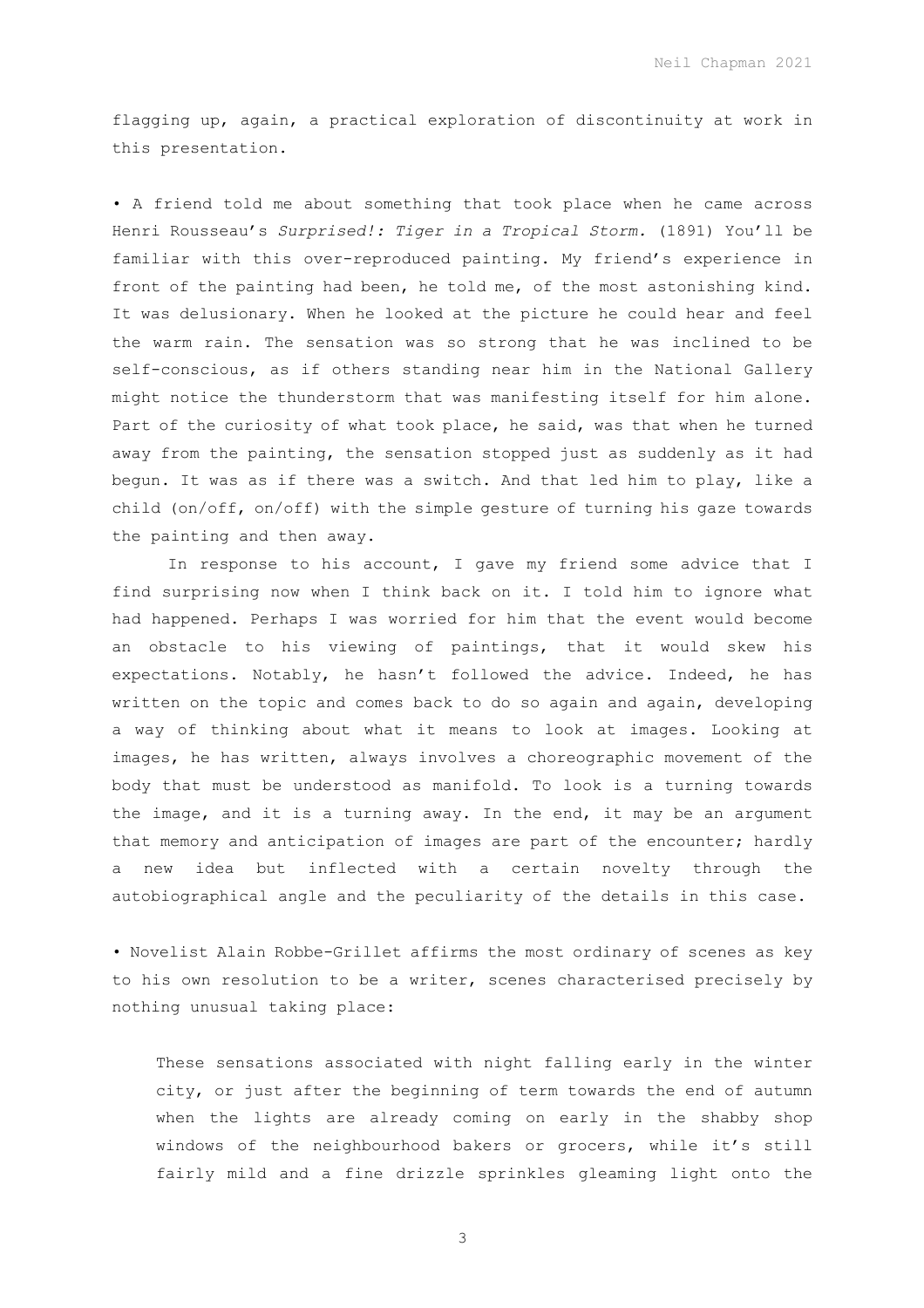flagging up, again, a practical exploration of discontinuity at work in this presentation.

• A friend told me about something that took place when he came across Henri Rousseau's *Surprised!: Tiger in a Tropical Storm.* (1891) You'll be familiar with this over-reproduced painting. My friend's experience in front of the painting had been, he told me, of the most astonishing kind. It was delusionary. When he looked at the picture he could hear and feel the warm rain. The sensation was so strong that he was inclined to be self-conscious, as if others standing near him in the National Gallery might notice the thunderstorm that was manifesting itself for him alone. Part of the curiosity of what took place, he said, was that when he turned away from the painting, the sensation stopped just as suddenly as it had begun. It was as if there was a switch. And that led him to play, like a child (on/off, on/off) with the simple gesture of turning his gaze towards the painting and then away.

In response to his account, I gave my friend some advice that I find surprising now when I think back on it. I told him to ignore what had happened. Perhaps I was worried for him that the event would become an obstacle to his viewing of paintings, that it would skew his expectations. Notably, he hasn't followed the advice. Indeed, he has written on the topic and comes back to do so again and again, developing a way of thinking about what it means to look at images. Looking at images, he has written, always involves a choreographic movement of the body that must be understood as manifold. To look is a turning towards the image, and it is a turning away. In the end, it may be an argument that memory and anticipation of images are part of the encounter; hardly a new idea but inflected with a certain novelty through the autobiographical angle and the peculiarity of the details in this case.

• Novelist Alain Robbe-Grillet affirms the most ordinary of scenes as key to his own resolution to be a writer, scenes characterised precisely by nothing unusual taking place:

These sensations associated with night falling early in the winter city, or just after the beginning of term towards the end of autumn when the lights are already coming on early in the shabby shop windows of the neighbourhood bakers or grocers, while it's still fairly mild and a fine drizzle sprinkles gleaming light onto the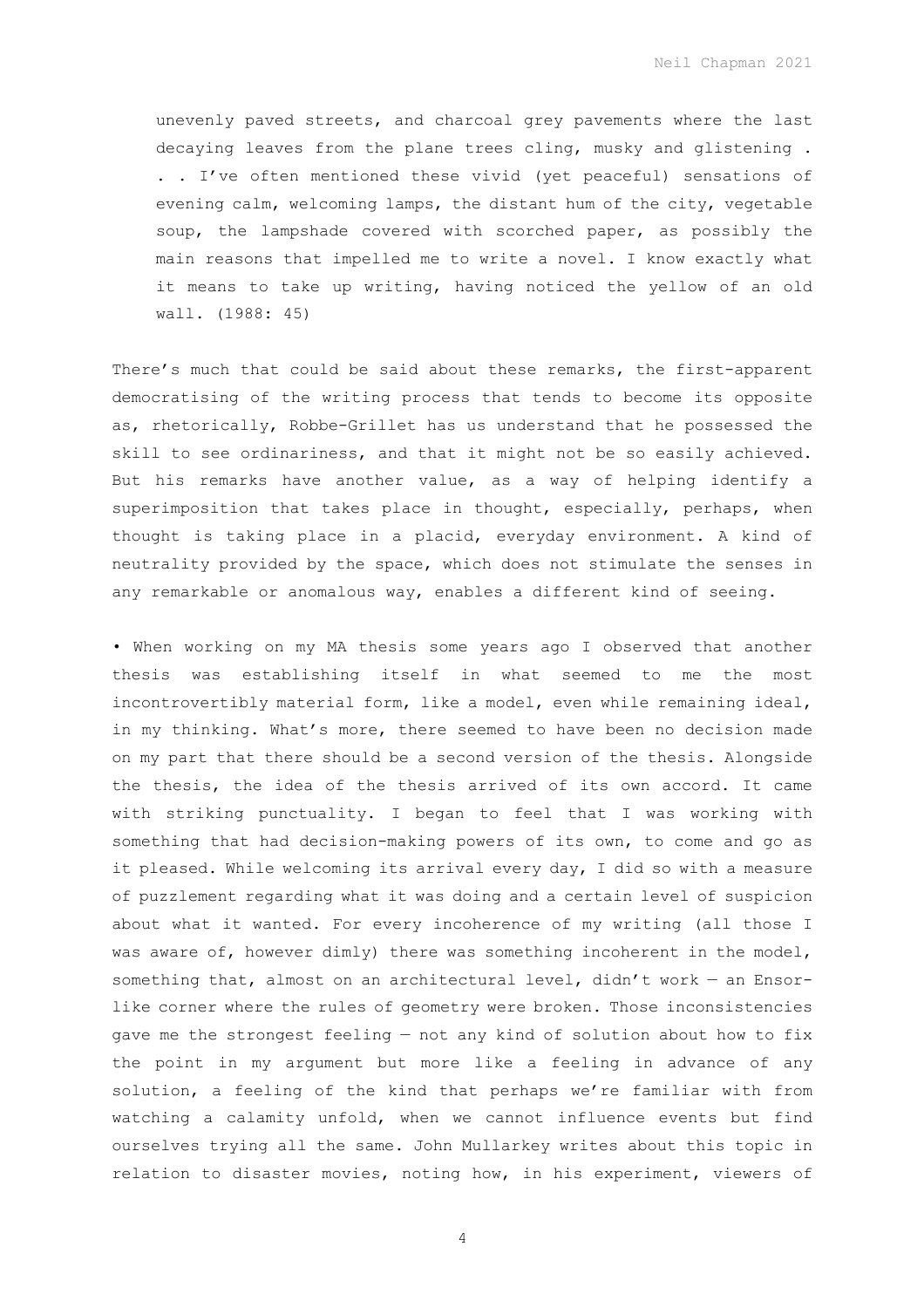Neil Chapman 2021

unevenly paved streets, and charcoal grey pavements where the last decaying leaves from the plane trees cling, musky and glistening . . . I've often mentioned these vivid (yet peaceful) sensations of evening calm, welcoming lamps, the distant hum of the city, vegetable soup, the lampshade covered with scorched paper, as possibly the main reasons that impelled me to write a novel. I know exactly what it means to take up writing, having noticed the yellow of an old wall. (1988: 45)

There's much that could be said about these remarks, the first-apparent democratising of the writing process that tends to become its opposite as, rhetorically, Robbe-Grillet has us understand that he possessed the skill to see ordinariness, and that it might not be so easily achieved. But his remarks have another value, as a way of helping identify a superimposition that takes place in thought, especially, perhaps, when thought is taking place in a placid, everyday environment. A kind of neutrality provided by the space, which does not stimulate the senses in any remarkable or anomalous way, enables a different kind of seeing.

• When working on my MA thesis some years ago I observed that another thesis was establishing itself in what seemed to me the most incontrovertibly material form, like a model, even while remaining ideal, in my thinking. What's more, there seemed to have been no decision made on my part that there should be a second version of the thesis. Alongside the thesis, the idea of the thesis arrived of its own accord. It came with striking punctuality. I began to feel that I was working with something that had decision-making powers of its own, to come and go as it pleased. While welcoming its arrival every day, I did so with a measure of puzzlement regarding what it was doing and a certain level of suspicion about what it wanted. For every incoherence of my writing (all those I was aware of, however dimly) there was something incoherent in the model, something that, almost on an architectural level, didn't work — an Ensorlike corner where the rules of geometry were broken. Those inconsistencies gave me the strongest feeling — not any kind of solution about how to fix the point in my argument but more like a feeling in advance of any solution, a feeling of the kind that perhaps we're familiar with from watching a calamity unfold, when we cannot influence events but find ourselves trying all the same. John Mullarkey writes about this topic in relation to disaster movies, noting how, in his experiment, viewers of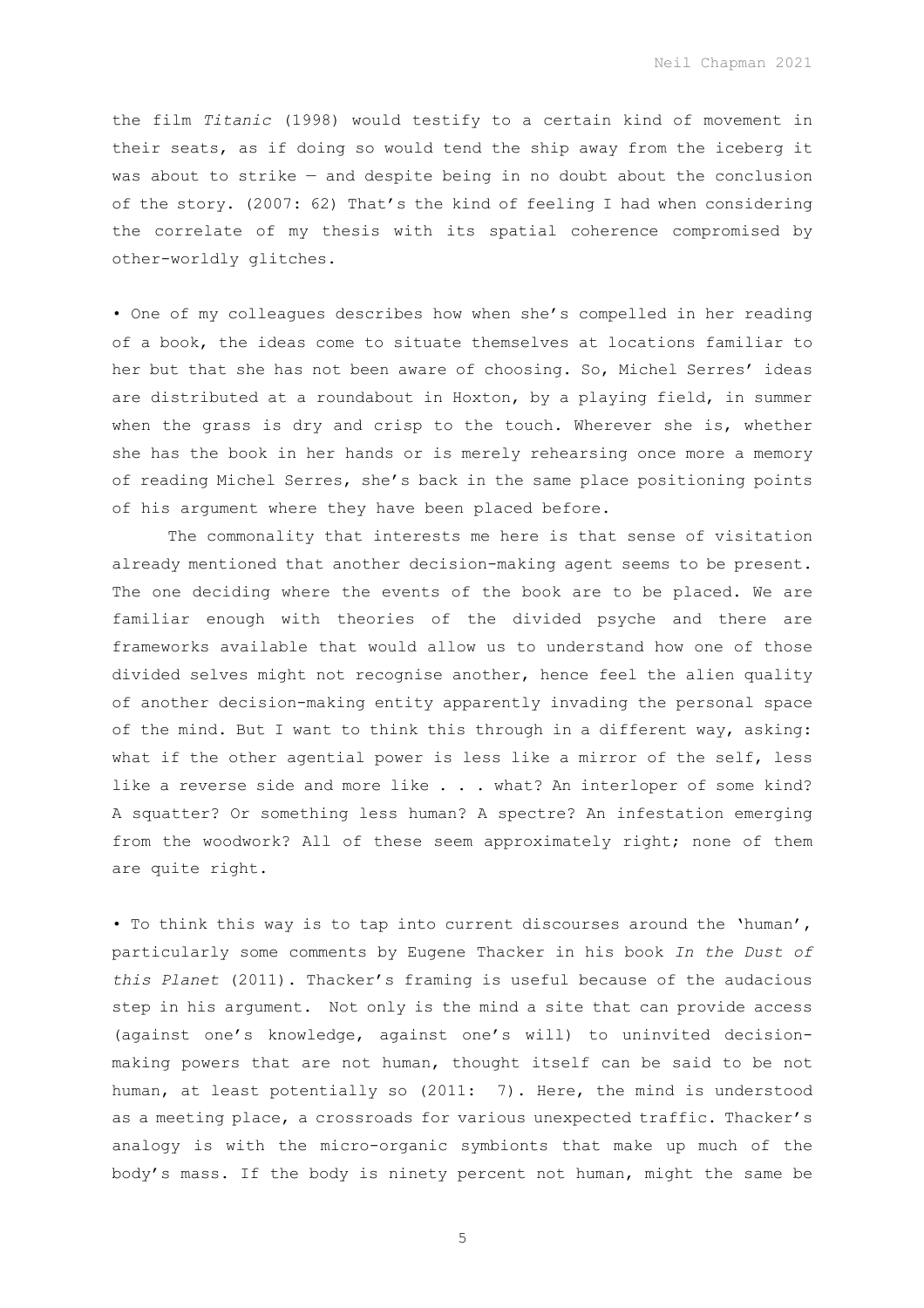the film *Titanic* (1998) would testify to a certain kind of movement in their seats, as if doing so would tend the ship away from the iceberg it was about to strike — and despite being in no doubt about the conclusion of the story. (2007: 62) That's the kind of feeling I had when considering the correlate of my thesis with its spatial coherence compromised by other-worldly glitches.

• One of my colleagues describes how when she's compelled in her reading of a book, the ideas come to situate themselves at locations familiar to her but that she has not been aware of choosing. So, Michel Serres' ideas are distributed at a roundabout in Hoxton, by a playing field, in summer when the grass is dry and crisp to the touch. Wherever she is, whether she has the book in her hands or is merely rehearsing once more a memory of reading Michel Serres, she's back in the same place positioning points of his argument where they have been placed before.

The commonality that interests me here is that sense of visitation already mentioned that another decision-making agent seems to be present. The one deciding where the events of the book are to be placed. We are familiar enough with theories of the divided psyche and there are frameworks available that would allow us to understand how one of those divided selves might not recognise another, hence feel the alien quality of another decision-making entity apparently invading the personal space of the mind. But I want to think this through in a different way, asking: what if the other agential power is less like a mirror of the self, less like a reverse side and more like . . . what? An interloper of some kind? A squatter? Or something less human? A spectre? An infestation emerging from the woodwork? All of these seem approximately right; none of them are quite right.

• To think this way is to tap into current discourses around the 'human', particularly some comments by Eugene Thacker in his book *In the Dust of this Planet* (2011). Thacker's framing is useful because of the audacious step in his argument. Not only is the mind a site that can provide access (against one's knowledge, against one's will) to uninvited decisionmaking powers that are not human, thought itself can be said to be not human, at least potentially so (2011: 7). Here, the mind is understood as a meeting place, a crossroads for various unexpected traffic. Thacker's analogy is with the micro-organic symbionts that make up much of the body's mass. If the body is ninety percent not human, might the same be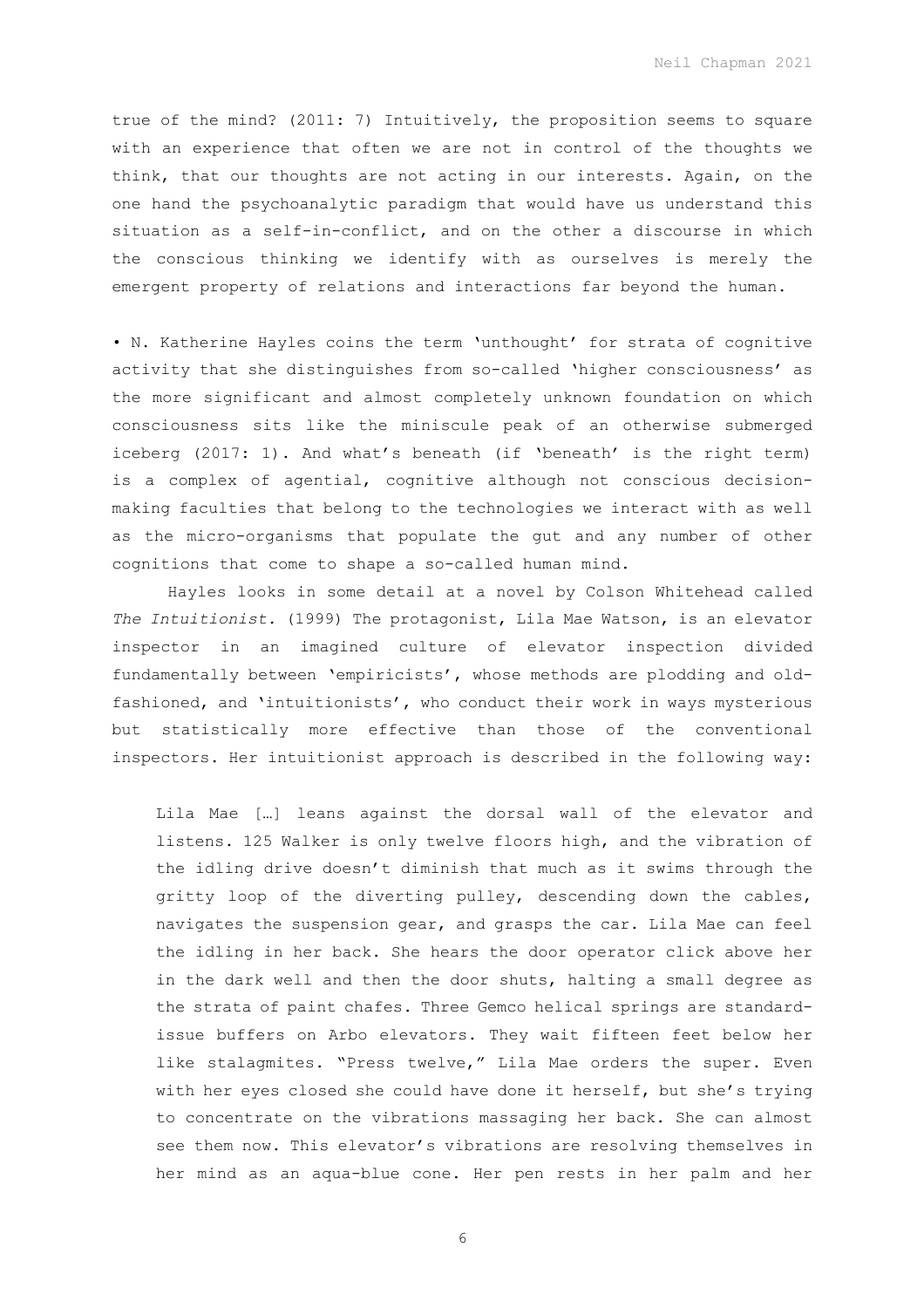Neil Chapman 2021

true of the mind? (2011: 7) Intuitively, the proposition seems to square with an experience that often we are not in control of the thoughts we think, that our thoughts are not acting in our interests. Again, on the one hand the psychoanalytic paradigm that would have us understand this situation as a self-in-conflict, and on the other a discourse in which the conscious thinking we identify with as ourselves is merely the emergent property of relations and interactions far beyond the human.

• N. Katherine Hayles coins the term 'unthought' for strata of cognitive activity that she distinguishes from so-called 'higher consciousness' as the more significant and almost completely unknown foundation on which consciousness sits like the miniscule peak of an otherwise submerged iceberg (2017: 1). And what's beneath (if 'beneath' is the right term) is a complex of agential, cognitive although not conscious decisionmaking faculties that belong to the technologies we interact with as well as the micro-organisms that populate the gut and any number of other cognitions that come to shape a so-called human mind.

Hayles looks in some detail at a novel by Colson Whitehead called *The Intuitionist.* (1999) The protagonist, Lila Mae Watson, is an elevator inspector in an imagined culture of elevator inspection divided fundamentally between 'empiricists', whose methods are plodding and oldfashioned, and 'intuitionists', who conduct their work in ways mysterious but statistically more effective than those of the conventional inspectors. Her intuitionist approach is described in the following way:

Lila Mae […] leans against the dorsal wall of the elevator and listens. 125 Walker is only twelve floors high, and the vibration of the idling drive doesn't diminish that much as it swims through the gritty loop of the diverting pulley, descending down the cables, navigates the suspension gear, and grasps the car. Lila Mae can feel the idling in her back. She hears the door operator click above her in the dark well and then the door shuts, halting a small degree as the strata of paint chafes. Three Gemco helical springs are standardissue buffers on Arbo elevators. They wait fifteen feet below her like stalagmites. "Press twelve," Lila Mae orders the super. Even with her eyes closed she could have done it herself, but she's trying to concentrate on the vibrations massaging her back. She can almost see them now. This elevator's vibrations are resolving themselves in her mind as an aqua-blue cone. Her pen rests in her palm and her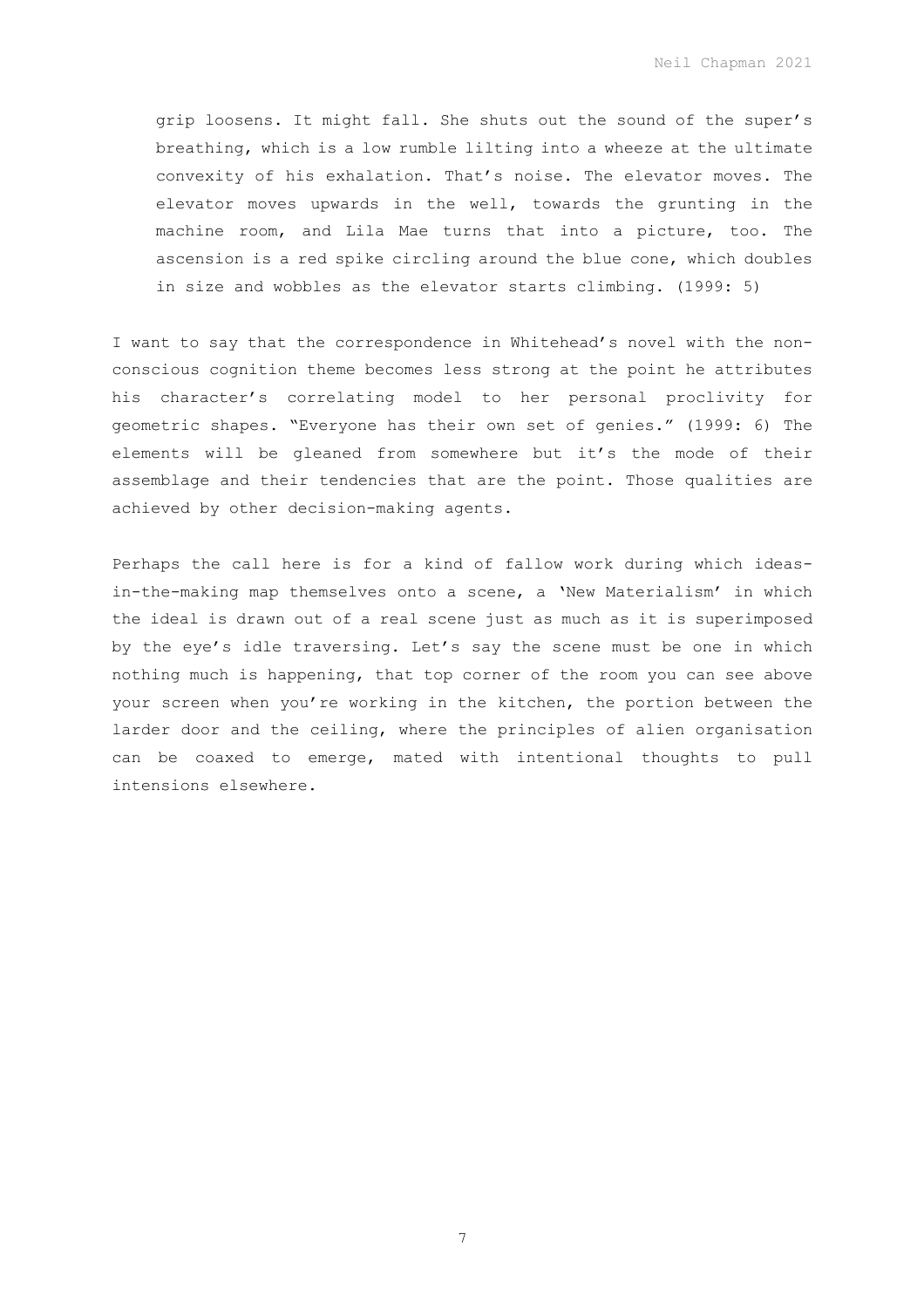Neil Chapman 2021

grip loosens. It might fall. She shuts out the sound of the super's breathing, which is a low rumble lilting into a wheeze at the ultimate convexity of his exhalation. That's noise. The elevator moves. The elevator moves upwards in the well, towards the grunting in the machine room, and Lila Mae turns that into a picture, too. The ascension is a red spike circling around the blue cone, which doubles in size and wobbles as the elevator starts climbing. (1999: 5)

I want to say that the correspondence in Whitehead's novel with the nonconscious cognition theme becomes less strong at the point he attributes his character's correlating model to her personal proclivity for geometric shapes. "Everyone has their own set of genies." (1999: 6) The elements will be gleaned from somewhere but it's the mode of their assemblage and their tendencies that are the point. Those qualities are achieved by other decision-making agents.

Perhaps the call here is for a kind of fallow work during which ideasin-the-making map themselves onto a scene, a 'New Materialism' in which the ideal is drawn out of a real scene just as much as it is superimposed by the eye's idle traversing. Let's say the scene must be one in which nothing much is happening, that top corner of the room you can see above your screen when you're working in the kitchen, the portion between the larder door and the ceiling, where the principles of alien organisation can be coaxed to emerge, mated with intentional thoughts to pull intensions elsewhere.